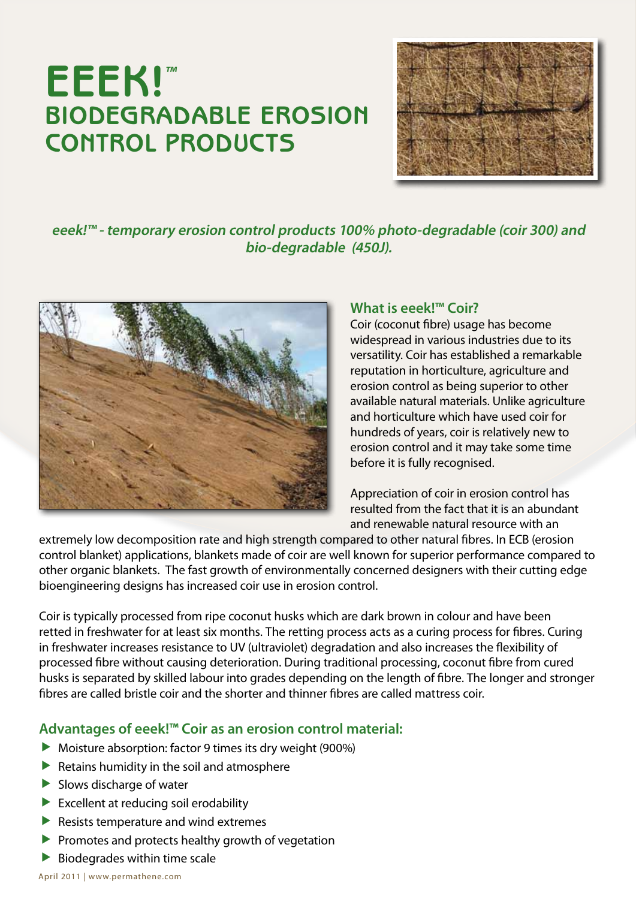# **EEEK!™ BIODEGRADABLE EROSION CONTROL PRODUCTS**



**eeek!™ - temporary erosion control products 100% photo-degradable (coir 300) and bio-degradable (450J).**



## **What is eeek!™ Coir?**

Coir (coconut fibre) usage has become widespread in various industries due to its versatility. Coir has established a remarkable reputation in horticulture, agriculture and erosion control as being superior to other available natural materials. Unlike agriculture and horticulture which have used coir for hundreds of years, coir is relatively new to erosion control and it may take some time before it is fully recognised.

Appreciation of coir in erosion control has resulted from the fact that it is an abundant and renewable natural resource with an

extremely low decomposition rate and high strength compared to other natural fibres. In ECB (erosion control blanket) applications, blankets made of coir are well known for superior performance compared to other organic blankets. The fast growth of environmentally concerned designers with their cutting edge bioengineering designs has increased coir use in erosion control.

Coir is typically processed from ripe coconut husks which are dark brown in colour and have been retted in freshwater for at least six months. The retting process acts as a curing process for fibres. Curing in freshwater increases resistance to UV (ultraviolet) degradation and also increases the flexibility of processed fibre without causing deterioration. During traditional processing, coconut fibre from cured husks is separated by skilled labour into grades depending on the length of fibre. The longer and stronger fibres are called bristle coir and the shorter and thinner fibres are called mattress coir.

# **Advantages of eeek!™ Coir as an erosion control material:**

- $\blacktriangleright$  Moisture absorption: factor 9 times its dry weight (900%)
- $\blacktriangleright$  Retains humidity in the soil and atmosphere
- $\blacktriangleright$  Slows discharge of water
- $\blacktriangleright$  Excellent at reducing soil erodability
- $\blacktriangleright$  Resists temperature and wind extremes
- $\blacktriangleright$  Promotes and protects healthy growth of vegetation
- $\blacktriangleright$  Biodegrades within time scale